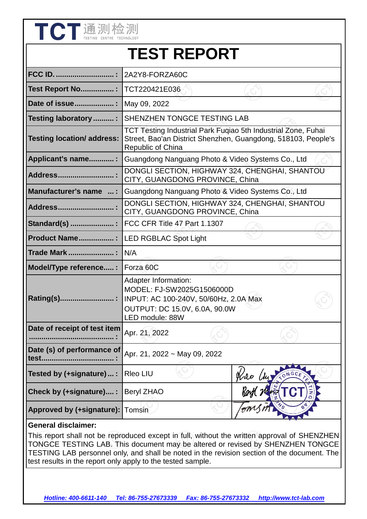|                                     | <b>TEST REPORT</b>                                                                                                                                    |                                                                                   |  |  |
|-------------------------------------|-------------------------------------------------------------------------------------------------------------------------------------------------------|-----------------------------------------------------------------------------------|--|--|
| <b>FCC ID. </b>                     | 2A2Y8-FORZA60C                                                                                                                                        |                                                                                   |  |  |
| <b>Test Report No:</b>              | TCT220421E036                                                                                                                                         |                                                                                   |  |  |
| Date of issue                       | May 09, 2022                                                                                                                                          |                                                                                   |  |  |
| <b>Testing laboratory  :</b>        | <b>SHENZHEN TONGCE TESTING LAB</b>                                                                                                                    |                                                                                   |  |  |
| <b>Testing location/ address:</b>   | TCT Testing Industrial Park Fugiao 5th Industrial Zone, Fuhai<br>Street, Bao'an District Shenzhen, Guangdong, 518103, People's<br>Republic of China   |                                                                                   |  |  |
| Applicant's name:                   | Guangdong Nanguang Photo & Video Systems Co., Ltd                                                                                                     |                                                                                   |  |  |
| Address                             | DONGLI SECTION, HIGHWAY 324, CHENGHAI, SHANTOU<br>CITY, GUANGDONG PROVINCE, China                                                                     |                                                                                   |  |  |
| Manufacturer's name  :              | Guangdong Nanguang Photo & Video Systems Co., Ltd                                                                                                     |                                                                                   |  |  |
| <b>Address</b>                      |                                                                                                                                                       | DONGLI SECTION, HIGHWAY 324, CHENGHAI, SHANTOU<br>CITY, GUANGDONG PROVINCE, China |  |  |
|                                     | FCC CFR Title 47 Part 1.1307                                                                                                                          |                                                                                   |  |  |
| <b>Product Name:</b>                | <b>LED RGBLAC Spot Light</b>                                                                                                                          |                                                                                   |  |  |
| Trade Mark                          | N/A                                                                                                                                                   |                                                                                   |  |  |
| Model/Type reference:               | Forza 60C                                                                                                                                             |                                                                                   |  |  |
| Rating(s)                           | <b>Adapter Information:</b><br>MODEL: FJ-SW2025G1506000D<br>INPUT: AC 100-240V, 50/60Hz, 2.0A Max<br>OUTPUT: DC 15.0V, 6.0A, 90.0W<br>LED module: 88W |                                                                                   |  |  |
| Date of receipt of test item        | Apr. 21, 2022                                                                                                                                         |                                                                                   |  |  |
| Date (s) of performance of<br>test. | Apr. 21, 2022 ~ May 09, 2022                                                                                                                          |                                                                                   |  |  |
| Tested by (+signature) :            | Rleo LIU                                                                                                                                              |                                                                                   |  |  |
| Check by (+signature) :             | <b>Beryl ZHAO</b>                                                                                                                                     |                                                                                   |  |  |
| Approved by (+signature):           | Tomsin                                                                                                                                                |                                                                                   |  |  |

**The Alt has sex with** 

This report shall not be reproduced except in full, without the written approval of SHENZHEN TONGCE TESTING LAB. This document may be altered or revised by SHENZHEN TONGCE TESTING LAB personnel only, and shall be noted in the revision section of the document. The test results in the report only apply to the tested sample.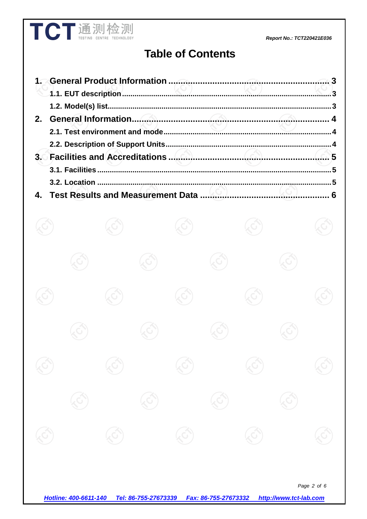#### Report No.: TCT220421E036

# **Table of Contents**

**TCT** 通测检测

|  |  | 6 |
|--|--|---|

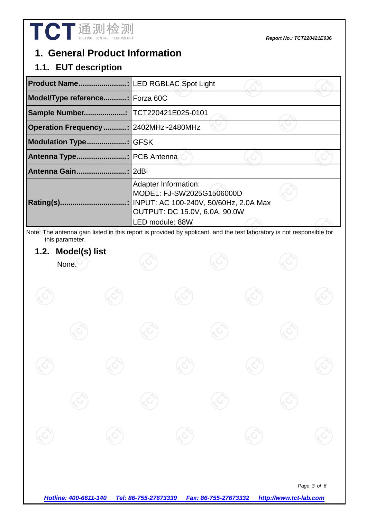

# **1. General Product Information**

### **1.1. EUT description**

| Product Name                          | <b>LED RGBLAC Spot Light</b>                                                                                                                          |  |
|---------------------------------------|-------------------------------------------------------------------------------------------------------------------------------------------------------|--|
| Model/Type reference Forza 60C        |                                                                                                                                                       |  |
| Sample Number                         | TCT220421E025-0101                                                                                                                                    |  |
| Operation Frequency : 2402MHz~2480MHz |                                                                                                                                                       |  |
| <b>Modulation Type.</b>               | <b>GFSK</b>                                                                                                                                           |  |
| <b>Antenna Type.</b>                  | PCB Antenna                                                                                                                                           |  |
| Antenna Gain                          | 2dBi                                                                                                                                                  |  |
| <b>Rating(s).</b>                     | Adapter Information:<br>MODEL: FJ-SW2025G1506000D<br>INPUT: AC 100-240V, 50/60Hz, 2.0A Max<br><b>OUTPUT: DC 15.0V, 6.0A, 90.0W</b><br>LED module: 88W |  |

Note: The antenna gain listed in this report is provided by applicant, and the test laboratory is not responsible for this parameter.

### **1.2. Model(s) list**

None.

*Page 3 of 6* 

*Hotline: 400-6611-140 Tel: 86-755-27673339 Fax: 86-755-27673332 http://www.tct-lab.com*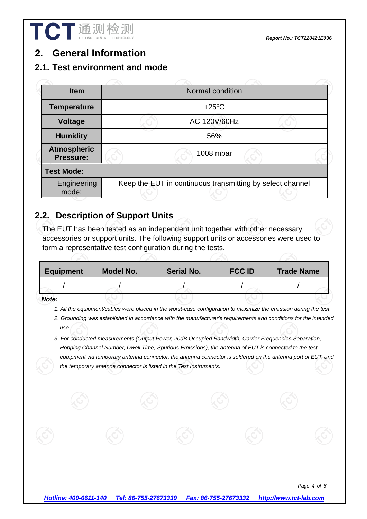# **2. General Information**

#### **2.1. Test environment and mode**

| <b>Item</b>                            | Normal condition |                                                           |  |  |  |
|----------------------------------------|------------------|-----------------------------------------------------------|--|--|--|
| <b>Temperature</b>                     |                  | $+25^{\circ}$ C                                           |  |  |  |
| Voltage                                |                  | AC 120V/60Hz                                              |  |  |  |
| <b>Humidity</b>                        |                  | 56%                                                       |  |  |  |
| <b>Atmospheric</b><br><b>Pressure:</b> |                  | 1008 mbar                                                 |  |  |  |
| <b>Test Mode:</b>                      |                  |                                                           |  |  |  |
| Engineering<br>mode:                   |                  | Keep the EUT in continuous transmitting by select channel |  |  |  |
|                                        |                  |                                                           |  |  |  |

# **2.2. Description of Support Units**

The EUT has been tested as an independent unit together with other necessary accessories or support units. The following support units or accessories were used to form a representative test configuration during the tests.

| <b>Equipment</b> | <b>Model No.</b> | <b>Serial No.</b> | <b>FCC ID</b> | <b>Trade Name</b> |
|------------------|------------------|-------------------|---------------|-------------------|
|                  |                  |                   |               |                   |
| $\mathbf{A}$     |                  |                   |               |                   |

*Note:* 

- *1. All the equipment/cables were placed in the worst-case configuration to maximize the emission during the test.*
- *2. Grounding was established in accordance with the manufacturer's requirements and conditions for the intended use.*
- *3. For conducted measurements (Output Power, 20dB Occupied Bandwidth, Carrier Frequencies Separation, Hopping Channel Number, Dwell Time, Spurious Emissions), the antenna of EUT is connected to the test equipment via temporary antenna connector, the antenna connector is soldered on the antenna port of EUT, and the temporary antenna connector is listed in the Test Instruments.*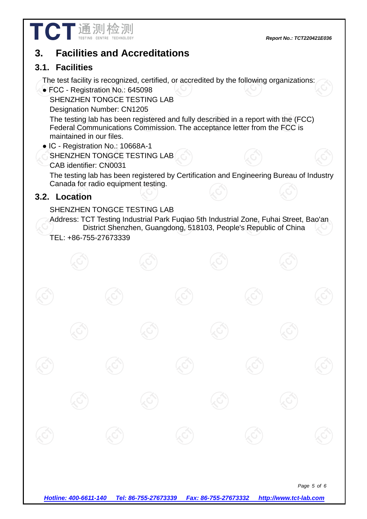

# **3. Facilities and Accreditations**

### **3.1. Facilities**

The test facility is recognized, certified, or accredited by the following organizations:

● FCC - Registration No.: 645098

SHENZHEN TONGCE TESTING LAB

Designation Number: CN1205

The testing lab has been registered and fully described in a report with the (FCC) Federal Communications Commission. The acceptance letter from the FCC is maintained in our files.

- IC Registration No.: 10668A-1
	- SHENZHEN TONGCE TESTING LAB
	- CAB identifier: CN0031

The testing lab has been registered by Certification and Engineering Bureau of Industry Canada for radio equipment testing.

# **3.2. Location**

### SHENZHEN TONGCE TESTING LAB

Address: TCT Testing Industrial Park Fuqiao 5th Industrial Zone, Fuhai Street, Bao'an District Shenzhen, Guangdong, 518103, People's Republic of China TEL: +86-755-27673339